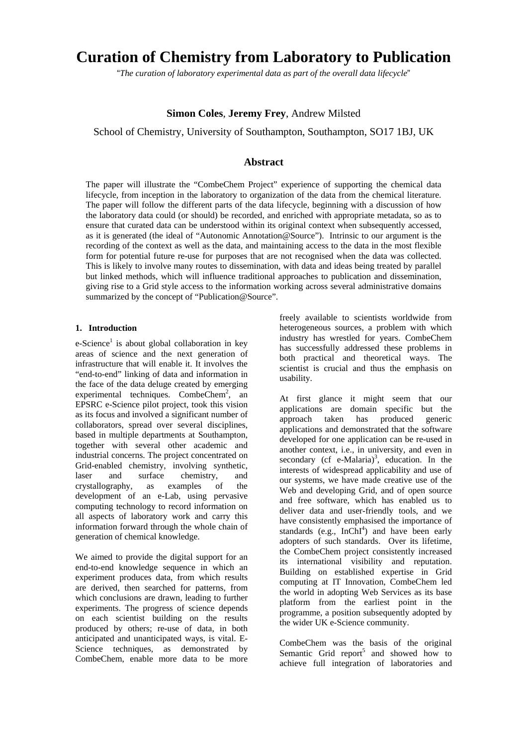# **Curation of Chemistry from Laboratory to Publication**

"*The curation of laboratory experimental data as part of the overall data lifecycle*"

# **Simon Coles**, **Jeremy Frey**, Andrew Milsted

School of Chemistry, University of Southampton, Southampton, SO17 1BJ, UK

# **Abstract**

The paper will illustrate the "CombeChem Project" experience of supporting the chemical data lifecycle, from inception in the laboratory to organization of the data from the chemical literature. The paper will follow the different parts of the data lifecycle, beginning with a discussion of how the laboratory data could (or should) be recorded, and enriched with appropriate metadata, so as to ensure that curated data can be understood within its original context when subsequently accessed, as it is generated (the ideal of "Autonomic Annotation@Source"). Intrinsic to our argument is the recording of the context as well as the data, and maintaining access to the data in the most flexible form for potential future re-use for purposes that are not recognised when the data was collected. This is likely to involve many routes to dissemination, with data and ideas being treated by parallel but linked methods, which will influence traditional approaches to publication and dissemination, giving rise to a Grid style access to the information working across several administrative domains summarized by the concept of "Publication@Source".

## **1. Introduction**

e-Science<sup>1</sup> is about global collaboration in key areas of science and the next generation of infrastructure that will enable it. It involves the "end-to-end" linking of data and information in the face of the data deluge created by emerging experimental techniques. CombeChem<sup>2</sup>, an EPSRC e-Science pilot project, took this vision as its focus and involved a significant number of collaborators, spread over several disciplines, based in multiple departments at Southampton, together with several other academic and industrial concerns. The project concentrated on Grid-enabled chemistry, involving synthetic, laser and surface chemistry, and crystallography, as examples of the development of an e-Lab, using pervasive computing technology to record information on all aspects of laboratory work and carry this information forward through the whole chain of generation of chemical knowledge.

We aimed to provide the digital support for an end-to-end knowledge sequence in which an experiment produces data, from which results are derived, then searched for patterns, from which conclusions are drawn, leading to further experiments. The progress of science depends on each scientist building on the results produced by others; re-use of data, in both anticipated and unanticipated ways, is vital. E-Science techniques, as demonstrated by CombeChem, enable more data to be more

freely available to scientists worldwide from heterogeneous sources, a problem with which industry has wrestled for years. CombeChem has successfully addressed these problems in both practical and theoretical ways. The scientist is crucial and thus the emphasis on usability.

At first glance it might seem that our applications are domain specific but the approach taken has produced generic applications and demonstrated that the software developed for one application can be re-used in another context, i.e., in university, and even in secondary (cf e-Malaria)<sup>3</sup>[,](#page-7-2) education. In the interests of widespread applicability and use of our systems, we have made creative use of the Web and developing Grid, and of open source and free software, which has enabled us to deliver data and user-friendly tools, and we have consistently emphasised the importance of standards  $(e.g., InChI<sup>4</sup>)$  $(e.g., InChI<sup>4</sup>)$  and have been early adopters of such standards. Over its lifetime, the CombeChem project consistently increased its international visibility and reputation. Building on established expertise in Grid computing at IT Innovation, CombeChem led the world in adopting Web Services as its base platform from the earliest point in the programme, a position subsequently adopted by the wider UK e-Science community.

CombeChem was the basis of the original SemanticGrid report<sup>5</sup> and showed how to achieve full integration of laboratories and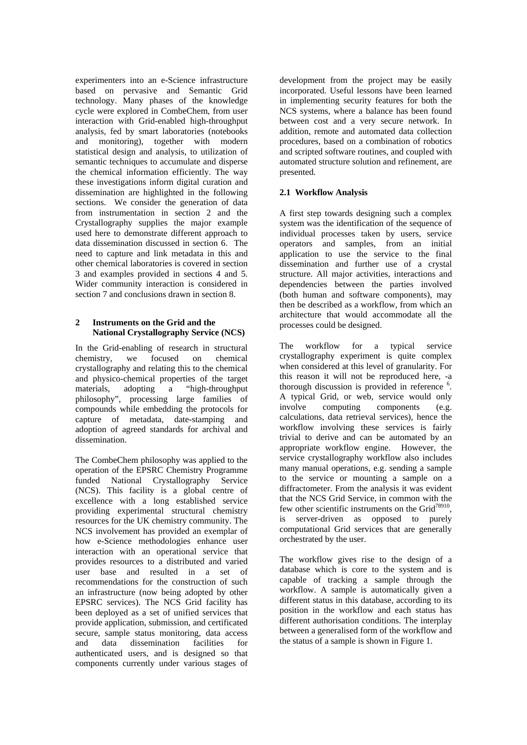experimenters into an e-Science infrastructure based on pervasive and Semantic Grid technology. Many phases of the knowledge cycle were explored in CombeChem, from user interaction with Grid-enabled high-throughput analysis, fed by smart laboratories (notebooks and monitoring), together with modern statistical design and analysis, to utilization of semantic techniques to accumulate and disperse the chemical information efficiently. The way these investigations inform digital curation and dissemination are highlighted in the following sections. We consider the generation of data from instrumentation in section 2 and the Crystallography supplies the major example used here to demonstrate different approach to data dissemination discussed in section 6. The need to capture and link metadata in this and other chemical laboratories is covered in section 3 and examples provided in sections 4 and 5. Wider community interaction is considered in section 7 and conclusions drawn in section 8.

## **2 Instruments on the Grid and the National Crystallography Service (NCS)**

In the Grid-enabling of research in structural chemistry, we focused on chemical crystallography and relating this to the chemical and physico-chemical properties of the target<br>materials, adopting a "high-throughput materials, adopting a "high-throughput philosophy", processing large families of compounds while embedding the protocols for capture of metadata, date-stamping and adoption of agreed standards for archival and dissemination.

The CombeChem philosophy was applied to the operation of the EPSRC Chemistry Programme funded National Crystallography Service (NCS). This facility is a global centre of excellence with a long established service providing experimental structural chemistry resources for the UK chemistry community. The NCS involvement has provided an exemplar of how e-Science methodologies enhance user interaction with an operational service that provides resources to a distributed and varied user base and resulted in a set of recommendations for the construction of such an infrastructure (now being adopted by other EPSRC services). The NCS Grid facility has been deployed as a set of unified services that provide application, submission, and certificated secure, sample status monitoring, data access and data dissemination facilities for authenticated users, and is designed so that components currently under various stages of

development from the project may be easily incorporated. Useful lessons have been learned in implementing security features for both the NCS systems, where a balance has been found between cost and a very secure network. In addition, remote and automated data collection procedures, based on a combination of robotics and scripted software routines, and coupled with automated structure solution and refinement, are presented.

## **2.1 Workflow Analysis**

A first step towards designing such a complex system was the identification of the sequence of individual processes taken by users, service operators and samples, from an initial application to use the service to the final dissemination and further use of a crystal structure. All major activities, interactions and dependencies between the parties involved (both human and software components), may then be described as a workflow, from which an architecture that would accommodate all the processes could be designed.

The workflow for a typical service crystallography experiment is quite complex when considered at this level of granularity. For this reason it will not be reproduced here, -a thorough discussion is provided in reference <sup>6</sup>. A typical Grid, or web, service would on[ly](#page-7-5)  involve computing components (e.g. calculations, data retrieval services), hence the workflow involving these services is fairly trivial to derive and can be automated by an appropriate workflow engine. However, the service crystallography workflow also includes many manual operations, e.g. sending a sample to the service or mounting a sample on a diffractometer. From the analysis it was evident that the NCS Grid Service, in common with the few other scientific instruments on the Grid<sup>78910</sup>, is server-driven as opposed to p[u](#page-7-6)[r](#page-7-7)[e](#page-7-8)[ly](#page-7-9)  computational Grid services that are generally orchestrated by the user.

The workflow gives rise to the design of a database which is core to the system and is capable of tracking a sample through the workflow. A sample is automatically given a different status in this database, according to its position in the workflow and each status has different authorisation conditions. The interplay between a generalised form of the workflow and the status of a sample is shown in Figure 1.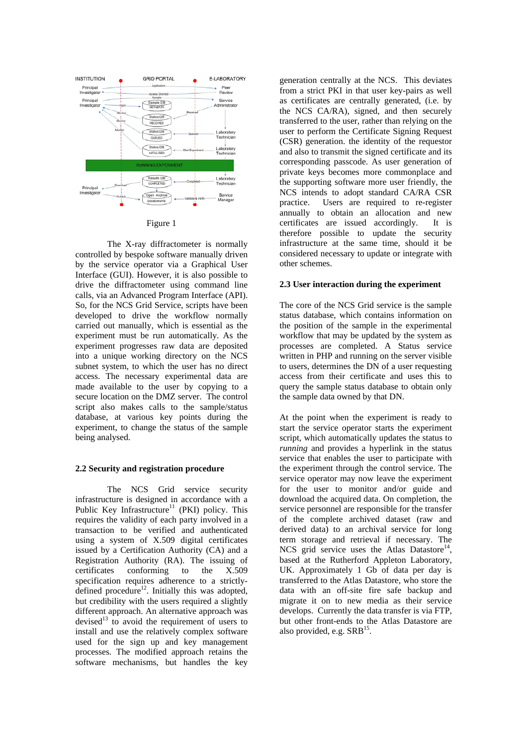

Figure 1

The X-ray diffractometer is normally controlled by bespoke software manually driven by the service operator via a Graphical User Interface (GUI). However, it is also possible to drive the diffractometer using command line calls, via an Advanced Program Interface (API). So, for the NCS Grid Service, scripts have been developed to drive the workflow normally carried out manually, which is essential as the experiment must be run automatically. As the experiment progresses raw data are deposited into a unique working directory on the NCS subnet system, to which the user has no direct access. The necessary experimental data are made available to the user by copying to a secure location on the DMZ server. The control script also makes calls to the sample/status database, at various key points during the experiment, to change the status of the sample being analysed.

#### **2.2 Security and registration procedure**

The NCS Grid service security infrastructure is designed in accordance with a Public Key Infrastructure<sup>11</sup> (PKI) policy. This requires the validity of ea[ch](#page-7-10) party involved in a transaction to be verified and authenticated using a system of X.509 digital certificates issued by a Certification Authority (CA) and a Registration Authority (RA). The issuing of certificates conforming to the X.509 specification requires adherence to a strictlydefined procedure $12$ . Initially this was adopted, but credibility wit[h t](#page-7-11)he users required a slightly different approach. An alternative approach was devised<sup>13</sup> to avoid the requirement of users to install [and](#page-7-12) use the relatively complex software used for the sign up and key management processes. The modified approach retains the software mechanisms, but handles the key

generation centrally at the NCS. This deviates from a strict PKI in that user key-pairs as well as certificates are centrally generated, (i.e. by the NCS CA/RA), signed, and then securely transferred to the user, rather than relying on the user to perform the Certificate Signing Request (CSR) generation. the identity of the requestor and also to transmit the signed certificate and its corresponding passcode. As user generation of private keys becomes more commonplace and the supporting software more user friendly, the NCS intends to adopt standard CA/RA CSR practice. Users are required to re-register annually to obtain an allocation and new certificates are issued accordingly. It is therefore possible to update the security infrastructure at the same time, should it be considered necessary to update or integrate with other schemes.

#### **2.3 User interaction during the experiment**

The core of the NCS Grid service is the sample status database, which contains information on the position of the sample in the experimental workflow that may be updated by the system as processes are completed. A Status service written in PHP and running on the server visible to users, determines the DN of a user requesting access from their certificate and uses this to query the sample status database to obtain only the sample data owned by that DN.

At the point when the experiment is ready to start the service operator starts the experiment script, which automatically updates the status to *running* and provides a hyperlink in the status service that enables the user to participate with the experiment through the control service. The service operator may now leave the experiment for the user to monitor and/or guide and download the acquired data. On completion, the service personnel are responsible for the transfer of the complete archived dataset (raw and derived data) to an archival service for long term storage and retrieval if necessary. The NCS grid service uses the Atlas Datastore<sup>14</sup>, based at the Rutherford Appleton Laborato[ry,](#page-7-13) UK. Approximately 1 Gb of data per day is transferred to the Atlas Datastore, who store the data with an off-site fire safe backup and migrate it on to new media as their service develops. Currently the data transfer is via FTP, but other front-ends to the Atlas Datastore are also provided, e.g.  $SRB<sup>15</sup>$ .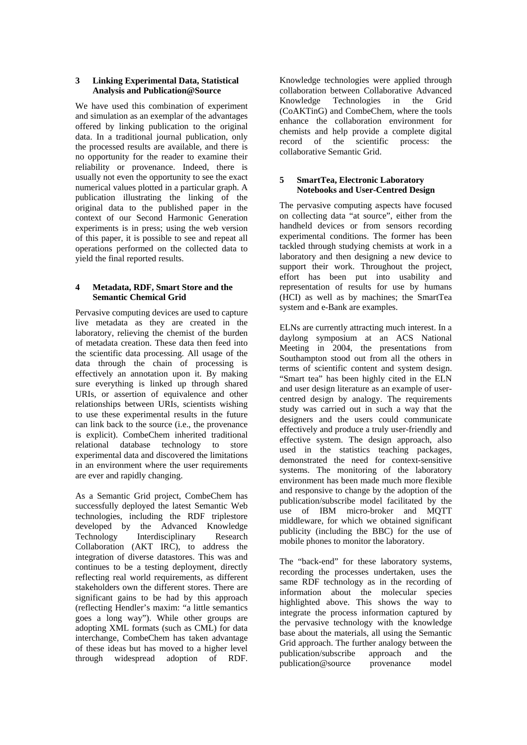#### **3 Linking Experimental Data, Statistical Analysis and Publication@Source**

We have used this combination of experiment and simulation as an exemplar of the advantages offered by linking publication to the original data. In a traditional journal publication, only the processed results are available, and there is no opportunity for the reader to examine their reliability or provenance. Indeed, there is usually not even the opportunity to see the exact numerical values plotted in a particular graph. A publication illustrating the linking of the original data to the published paper in the context of our Second Harmonic Generation experiments is in press; using the web version of this paper, it is possible to see and repeat all operations performed on the collected data to yield the final reported results.

## **4 Metadata, RDF, Smart Store and the Semantic Chemical Grid**

Pervasive computing devices are used to capture live metadata as they are created in the laboratory, relieving the chemist of the burden of metadata creation. These data then feed into the scientific data processing. All usage of the data through the chain of processing is effectively an annotation upon it. By making sure everything is linked up through shared URIs, or assertion of equivalence and other relationships between URIs, scientists wishing to use these experimental results in the future can link back to the source (i.e., the provenance is explicit). CombeChem inherited traditional relational database technology to store experimental data and discovered the limitations in an environment where the user requirements are ever and rapidly changing.

As a Semantic Grid project, CombeChem has successfully deployed the latest Semantic Web technologies, including the RDF triplestore developed by the Advanced Knowledge Technology Interdisciplinary Research Collaboration (AKT IRC), to address the integration of diverse datastores. This was and continues to be a testing deployment, directly reflecting real world requirements, as different stakeholders own the different stores. There are significant gains to be had by this approach (reflecting Hendler's maxim: "a little semantics goes a long way"). While other groups are adopting XML formats (such as CML) for data interchange, CombeChem has taken advantage of these ideas but has moved to a higher level through widespread adoption of RDF.

Knowledge technologies were applied through collaboration between Collaborative Advanced Knowledge Technologies in the Grid (CoAKTinG) and CombeChem, where the tools enhance the collaboration environment for chemists and help provide a complete digital record of the scientific process: the collaborative Semantic Grid.

## **5 SmartTea, Electronic Laboratory Notebooks and User-Centred Design**

The pervasive computing aspects have focused on collecting data "at source", either from the handheld devices or from sensors recording experimental conditions. The former has been tackled through studying chemists at work in a laboratory and then designing a new device to support their work. Throughout the project, effort has been put into usability and representation of results for use by humans (HCI) as well as by machines; the SmartTea system and e-Bank are examples.

ELNs are currently attracting much interest. In a daylong symposium at an ACS National Meeting in 2004, the presentations from Southampton stood out from all the others in terms of scientific content and system design. "Smart tea" has been highly cited in the ELN and user design literature as an example of usercentred design by analogy. The requirements study was carried out in such a way that the designers and the users could communicate effectively and produce a truly user-friendly and effective system. The design approach, also used in the statistics teaching packages, demonstrated the need for context-sensitive systems. The monitoring of the laboratory environment has been made much more flexible and responsive to change by the adoption of the publication/subscribe model facilitated by the use of IBM micro-broker and MQTT middleware, for which we obtained significant publicity (including the BBC) for the use of mobile phones to monitor the laboratory.

The "back-end" for these laboratory systems, recording the processes undertaken, uses the same RDF technology as in the recording of information about the molecular species highlighted above. This shows the way to integrate the process information captured by the pervasive technology with the knowledge base about the materials, all using the Semantic Grid approach. The further analogy between the publication/subscribe approach and the publication@source provenance model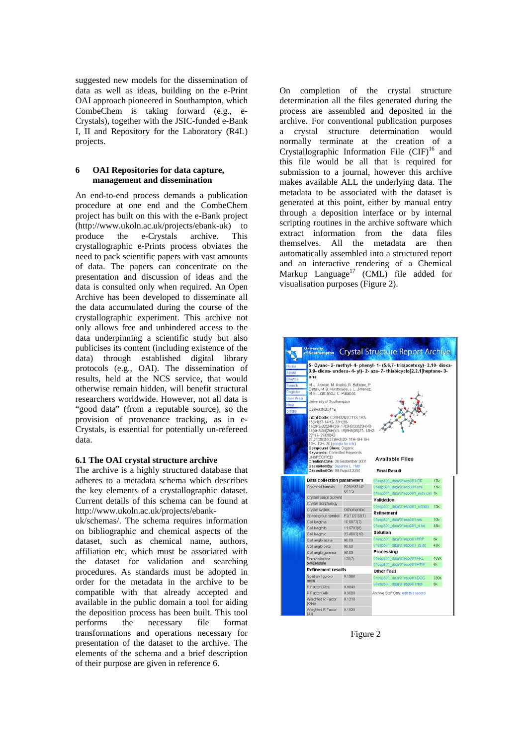suggested new models for the dissemination of data as well as ideas, building on the e-Print OAI approach pioneered in Southampton, which CombeChem is taking forward (e.g., e-Crystals), together with the JSIC-funded e-Bank I, II and Repository for the Laboratory (R4L) projects.

#### **6 OAI Repositories for data capture, management and dissemination**

An end-to-end process demands a publication procedure at one end and the CombeChem project has built on this with the e-Bank project (http://www.ukoln.ac.uk/projects/ebank-uk) to produce the e-Crystals archive. This crystallographic e-Prints process obviates the need to pack scientific papers with vast amounts of data. The papers can concentrate on the presentation and discussion of ideas and the data is consulted only when required. An Open Archive has been developed to disseminate all the data accumulated during the course of the crystallographic experiment. This archive not only allows free and unhindered access to the data underpinning a scientific study but also publicises its content (including existence of the data) through established digital library protocols (e.g., OAI). The dissemination of results, held at the NCS service, that would otherwise remain hidden, will benefit structural researchers worldwide. However, not all data is "good data" (from a reputable source), so the provision of provenance tracking, as in e-Crystals, is essential for potentially un-refereed data.

## **6.1 The OAI crystal structure archive**

The archive is a highly structured database that adheres to a metadata schema which describes the key elements of a crystallographic dataset. Current details of this schema can be found at http://www.ukoln.ac.uk/projects/ebank-

uk/schemas/. The schema requires information on bibliographic and chemical aspects of the dataset, such as chemical name, authors, affiliation etc, which must be associated with the dataset for validation and searching procedures. As standards must be adopted in order for the metadata in the archive to be compatible with that already accepted and available in the public domain a tool for aiding the deposition process has been built. This tool performs the necessary file format transformations and operations necessary for presentation of the dataset to the archive. The elements of the schema and a brief description of their purpose are given in reference 6.

On completion of the crystal structure determination all the files generated during the process are assembled and deposited in the archive. For conventional publication purposes a crystal structure determination would normally terminate at the creation of a Crystallographic Information File  $(CIF)^{16}$  and this file would be all that is required for submission to a journal, however this archive makes available ALL the underlying data. The metadata to be associated with the dataset is generated at this point, either by manual entry through a deposition interface or by internal scripting routines in the archive software which extract information from the data files themselves. All the metadata are then automatically assembled into a structured report and an interactive rendering of a Chemical Markup Language<sup>17</sup> (CML) file added for visualisation purposes (Figure 2).



Figure 2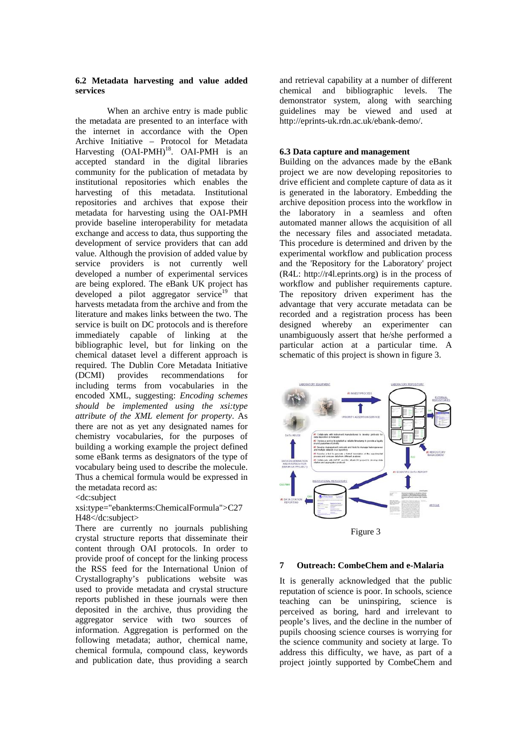#### **6.2 Metadata harvesting and value added services**

When an archive entry is made public the metadata are presented to an interface with the internet in accordance with the Open Archive Initiative – Protocol for Metadata Harvesting  $(OAI-PMH)<sup>18</sup>$ . OAI-PMH is an accepted standard in the digital libraries community for the publication of metadata by institutional repositories which enables the harvesting of this metadata. Institutional repositories and archives that expose their metadata for harvesting using the OAI-PMH provide baseline interoperability for metadata exchange and access to data, thus supporting the development of service providers that can add value. Although the provision of added value by service providers is not currently well developed a number of experimental services are being explored. The eBank UK project has developed a pilot aggregator service<sup>19</sup> that harvests metadata from the archive and from the literature and makes links between the two. The service is built on DC protocols and is therefore immediately capable of linking at the bibliographic level, but for linking on the chemical dataset level a different approach is required. The Dublin Core Metadata Initiative (DCMI) provides recommendations for including terms from vocabularies in the encoded XML, suggesting: *Encoding schemes should be implemented using the xsi:type attribute of the XML element for property*. As there are not as yet any designated names for chemistry vocabularies, for the purposes of building a working example the project defined some eBank terms as designators of the type of vocabulary being used to describe the molecule. Thus a chemical formula would be expressed in the metadata record as:

#### <dc:subject

## xsi:type="ebankterms:ChemicalFormula">C27 H48</dc:subject>

There are currently no journals publishing crystal structure reports that disseminate their content through OAI protocols. In order to provide proof of concept for the linking process the RSS feed for the International Union of Crystallography's publications website was used to provide metadata and crystal structure reports published in these journals were then deposited in the archive, thus providing the aggregator service with two sources of information. Aggregation is performed on the following metadata; author, chemical name, chemical formula, compound class, keywords and publication date, thus providing a search

and retrieval capability at a number of different chemical and bibliographic levels. The demonstrator system, along with searching guidelines may be viewed and used at http://eprints-uk.rdn.ac.uk/ebank-demo/.

#### **6.3 Data capture and management**

Building on the advances made by the eBank project we are now developing repositories to drive efficient and complete capture of data as it is generated in the laboratory. Embedding the archive deposition process into the workflow in the laboratory in a seamless and often automated manner allows the acquisition of all the necessary files and associated metadata. This procedure is determined and driven by the experimental workflow and publication process and the 'Repository for the Laboratory' project (R4L: http://r4l.eprints.org) is in the process of workflow and publisher requirements capture. The repository driven experiment has the advantage that very accurate metadata can be recorded and a registration process has been designed whereby an experimenter can unambiguously assert that he/she performed a particular action at a particular time. A schematic of this project is shown in figure 3.



Figure 3

#### **7 Outreach: CombeChem and e-Malaria**

It is generally acknowledged that the public reputation of science is poor. In schools, science teaching can be uninspiring, science is perceived as boring, hard and irrelevant to people's lives, and the decline in the number of pupils choosing science courses is worrying for the science community and society at large. To address this difficulty, we have, as part of a project jointly supported by CombeChem and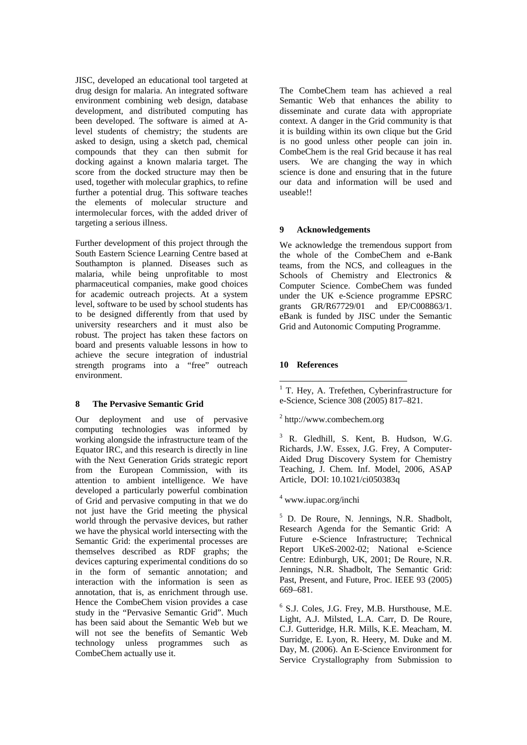JISC, developed an educational tool targeted at drug design for malaria. An integrated software environment combining web design, database development, and distributed computing has been developed. The software is aimed at Alevel students of chemistry; the students are asked to design, using a sketch pad, chemical compounds that they can then submit for docking against a known malaria target. The score from the docked structure may then be used, together with molecular graphics, to refine further a potential drug. This software teaches the elements of molecular structure and intermolecular forces, with the added driver of targeting a serious illness.

Further development of this project through the South Eastern Science Learning Centre based at Southampton is planned. Diseases such as malaria, while being unprofitable to most pharmaceutical companies, make good choices for academic outreach projects. At a system level, software to be used by school students has to be designed differently from that used by university researchers and it must also be robust. The project has taken these factors on board and presents valuable lessons in how to achieve the secure integration of industrial strength programs into a "free" outreach environment.

#### **8 The Pervasive Semantic Grid**

Our deployment and use of pervasive computing technologies was informed by working alongside the infrastructure team of the Equator IRC, and this research is directly in line with the Next Generation Grids strategic report from the European Commission, with its attention to ambient intelligence. We have developed a particularly powerful combination of Grid and pervasive computing in that we do not just have the Grid meeting the physical world through the pervasive devices, but rather we have the physical world intersecting with the Semantic Grid: the experimental processes are themselves described as RDF graphs; the devices capturing experimental conditions do so in the form of semantic annotation; and interaction with the information is seen as annotation, that is, as enrichment through use. Hence the CombeChem vision provides a case study in the "Pervasive Semantic Grid". Much has been said about the Semantic Web but we will not see the benefits of Semantic Web technology unless programmes such as CombeChem actually use it.

The CombeChem team has achieved a real Semantic Web that enhances the ability to disseminate and curate data with appropriate context. A danger in the Grid community is that it is building within its own clique but the Grid is no good unless other people can join in. CombeChem is the real Grid because it has real users. We are changing the way in which science is done and ensuring that in the future our data and information will be used and useable!!

## **9 Acknowledgements**

We acknowledge the tremendous support from the whole of the CombeChem and e-Bank teams, from the NCS, and colleagues in the Schools of Chemistry and Electronics & Computer Science. CombeChem was funded under the UK e-Science programme EPSRC grants GR/R67729/01 and EP/C008863/1. eBank is funded by JISC under the Semantic Grid and Autonomic Computing Programme.

## **10 References**

## 2 http://www.combechem.org

3 R. Gledhill, S. Kent, B. Hudson, W.G. Richards, J.W. Essex, J.G. Frey, A Computer-Aided Drug Discovery System for Chemistry Teaching, J. Chem. Inf. Model, 2006, ASAP Article, DOI: 10.1021/ci050383q

## 4 www.iupac.org/inchi

<sup>5</sup> D. De Roure, N. Jennings, N.R. Shadbolt, Research Agenda for the Semantic Grid: A Future e-Science Infrastructure; Technical Report UKeS-2002-02; National e-Science Centre: Edinburgh, UK, 2001; De Roure, N.R. Jennings, N.R. Shadbolt, The Semantic Grid: Past, Present, and Future, Proc. IEEE 93 (2005) 669–681.

6 S.J. Coles, J.G. Frey, M.B. Hursthouse, M.E. Light, A.J. Milsted, L.A. Carr, D. De Roure, C.J. Gutteridge, H.R. Mills, K.E. Meacham, M. Surridge, E. Lyon, R. Heery, M. Duke and M. Day, M. (2006). [An E-Science Environment for](http://eprints.soton.ac.uk/26845/)  [Service Crystallography from Submission to](http://eprints.soton.ac.uk/26845/) 

 1 T. Hey, A. Trefethen, Cyberinfrastructure for e-Science, Science 308 (2005) 817–821.